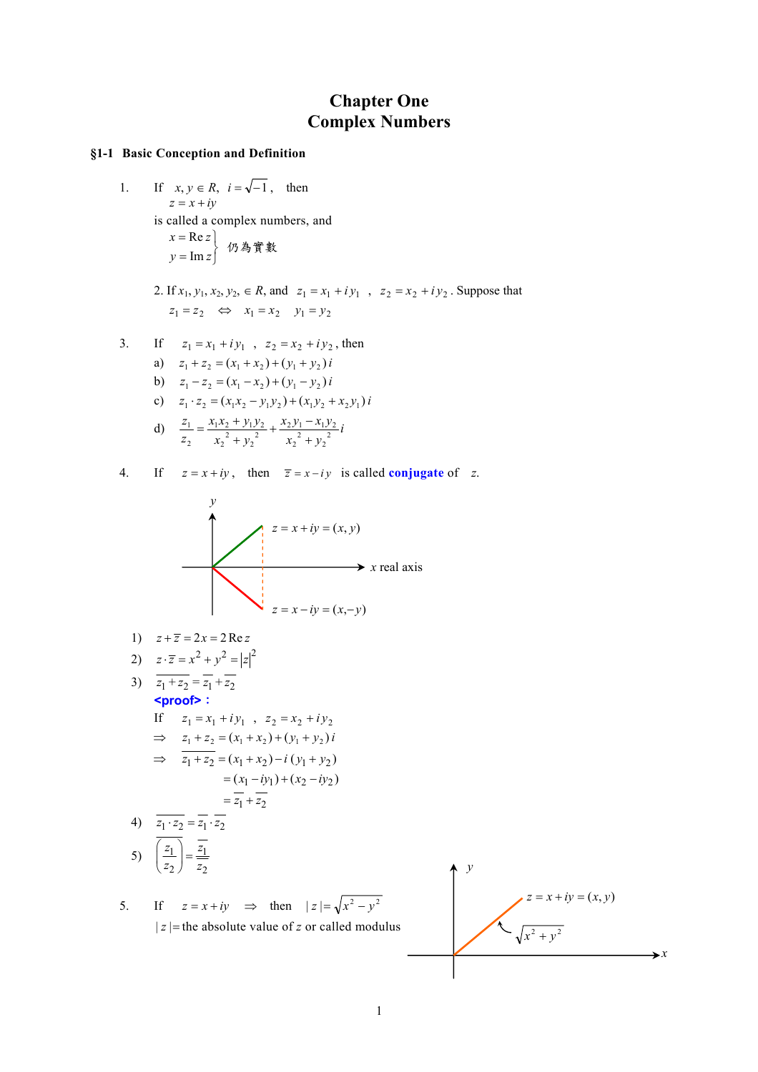# **Chapter One Complex Numbers**

## **§1-1 Basic Conception and Definition**

1. If  $x, y \in R$ ,  $i = \sqrt{-1}$ , then  $z = x + iy$ is called a complex numbers, and  $\begin{array}{c} \mathsf{Re}\, z \ \mathsf{Im}\, z \end{array}$  仍為實數 ⎭  $\left\{ \right.$  $\begin{matrix} \end{matrix}$ = =  $y = \text{Im } z$ *x z*

> 2. If  $x_1, y_1, x_2, y_2 \in R$ , and  $z_1 = x_1 + iy_1$ ,  $z_2 = x_2 + iy_2$ . Suppose that  $z_1 = z_2 \Leftrightarrow x_1 = x_2 \quad y_1 = y_2$

3. If 
$$
z_1 = x_1 + iy_1
$$
,  $z_2 = x_2 + iy_2$ , then

- a)  $z_1 + z_2 = (x_1 + x_2) + (y_1 + y_2)i$
- b)  $z_1 z_2 = (x_1 x_2) + (y_1 y_2)i$
- c)  $z_1 \cdot z_2 = (x_1x_2 y_1y_2) + (x_1y_2 + x_2y_1)i$

d) 
$$
\frac{z_1}{z_2} = \frac{x_1 x_2 + y_1 y_2}{x_2^2 + y_2^2} + \frac{x_2 y_1 - x_1 y_2}{x_2^2 + y_2^2} i
$$

4. If  $z = x + iy$ , then  $\overline{z} = x - iy$  is called **conjugate** of *z*.



1) 
$$
z + \overline{z} = 2x = 2 \operatorname{Re} z
$$

$$
2) \quad z \cdot \overline{z} = x^2 + y^2 = |z|^2
$$

3) 
$$
z_1 + z_2 = z_1 + z_2
$$
  
\n $\leq \text{proofs}$ :  
\nIf  $z_1 = x_1 + iy_1$ ,  $z_2 = x_2 + iy_2$   
\n $\Rightarrow z_1 + z_2 = (x_1 + x_2) + (y_1 + y_2)i$   
\n $\Rightarrow z_1 + z_2 = (x_1 + x_2) - i (y_1 + y_2)$ 

$$
= (x_1 - iy_1) + (x_2 - iy_2)
$$
  
=  $\overline{z_1} + \overline{z_2}$ 

4) 
$$
\overline{z_1 \cdot z_2} = \overline{z_1} \cdot \overline{z_2}
$$
  
5) 
$$
\overline{\left(\frac{z_1}{z_2}\right)} = \frac{\overline{z_1}}{\overline{z_2}}
$$

5. If 
$$
z = x + iy \implies
$$
 then  $|z| = \sqrt{x^2 - y^2}$   
 $|z| =$  the absolute value of z or called modulus

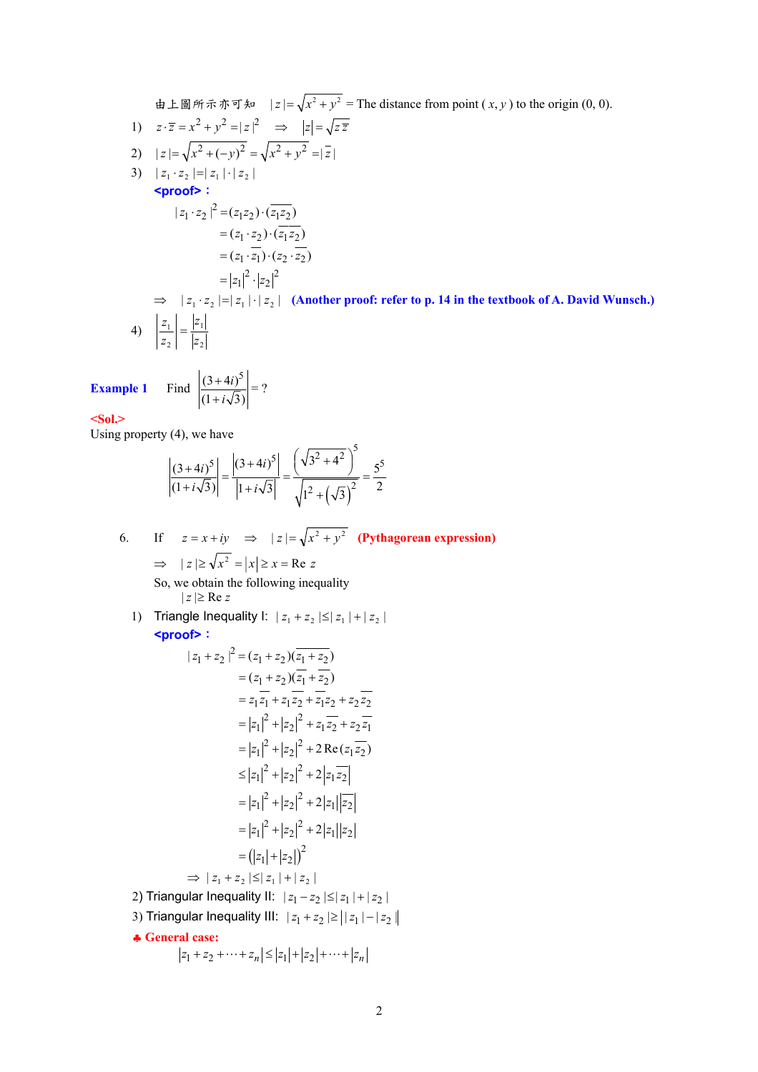由上圖所示亦可知  $|z| = \sqrt{x^2 + y^2}$  = The distance from point  $(x, y)$  to the origin  $(0, 0)$ .

1) 
$$
z \cdot \overline{z} = x^2 + y^2 = |z|^2 \implies |z| = \sqrt{z \overline{z}}
$$
  
\n2)  $|z| = \sqrt{x^2 + (-y)^2} = \sqrt{x^2 + y^2} = |\overline{z}|$   
\n3)  $|z_1 \cdot z_2| = |z_1| \cdot |z_2|$   
\n**Proof5:**  
\n $|z_1 \cdot z_2|^2 = (z_1 z_2) \cdot (\overline{z_1 z_2})$   
\n $= (z_1 \cdot z_2) \cdot (\overline{z_1 z_2})$   
\n $= (z_1 \cdot \overline{z_1}) \cdot (z_2 \cdot \overline{z_2})$   
\n $= |z_1|^2 \cdot |z_2|^2$   
\n $\implies |z_1 \cdot z_2| = |z_1| \cdot |z_2|$  (Another proof: refer to p. 14 in the textbook of A. David Wunsch.)  
\n4)  $\left| \frac{z_1}{z_2} \right| = \frac{|z_1|}{|z_2|}$ 

**Example 1** 

 $(1+i\sqrt{3})$ 

*i*

+

**<Sol.>** 

Using property (4), we have

$$
\left| \frac{(3+4i)^5}{(1+i\sqrt{3})} \right| = \frac{\left| (3+4i)^5 \right|}{\left| 1+i\sqrt{3} \right|} = \frac{\left( \sqrt{3^2 + 4^2} \right)^5}{\sqrt{1^2 + \left( \sqrt{3} \right)^2}} = \frac{5^5}{2}
$$

 $=$  ?

6. If  $z = x + iy \implies |z| = \sqrt{x^2 + y^2}$  (Pythagorean expression)  $\Rightarrow$   $|z| \ge \sqrt{x^2} = |x| \ge x = \text{Re } z$ So, we obtain the following inequality  $|z| \geq Re z$ 

1) Triangle Inequality I:  $|z_1 + z_2| \leq |z_1| + |z_2|$ **<proof>**:

$$
|z_1 + z_2|^2 = (z_1 + z_2)(\overline{z_1 + z_2})
$$
  
\n
$$
= (z_1 + z_2)(\overline{z_1 + z_2})
$$
  
\n
$$
= z_1\overline{z_1} + z_1\overline{z_2} + \overline{z_1}z_2 + z_2\overline{z_2}
$$
  
\n
$$
= |z_1|^2 + |z_2|^2 + z_1\overline{z_2} + z_2\overline{z_1}
$$
  
\n
$$
= |z_1|^2 + |z_2|^2 + 2 \operatorname{Re}(z_1\overline{z_2})
$$
  
\n
$$
\leq |z_1|^2 + |z_2|^2 + 2|z_1\overline{z_2}|
$$
  
\n
$$
= |z_1|^2 + |z_2|^2 + 2|z_1||z_2|
$$
  
\n
$$
= |z_1|^2 + |z_2|^2 + 2|z_1||z_2|
$$
  
\n
$$
= (|z_1| + |z_2|)^2
$$
  
\n
$$
\Rightarrow |z_1 + z_2| \leq |z_1| + |z_2|
$$
  
\n2) Triangular Inequality II:  $|z_1 - z_2| \leq |z_1| + |z_2|$   
\n3) Triangular Inequality III:  $|z_1 + z_2| \geq ||z_1| - |z_2||$   
\n4. General case:  
\n
$$
|z_1 + z_2 + \dots + z_n| \leq |z_1| + |z_2| + \dots + |z_n|
$$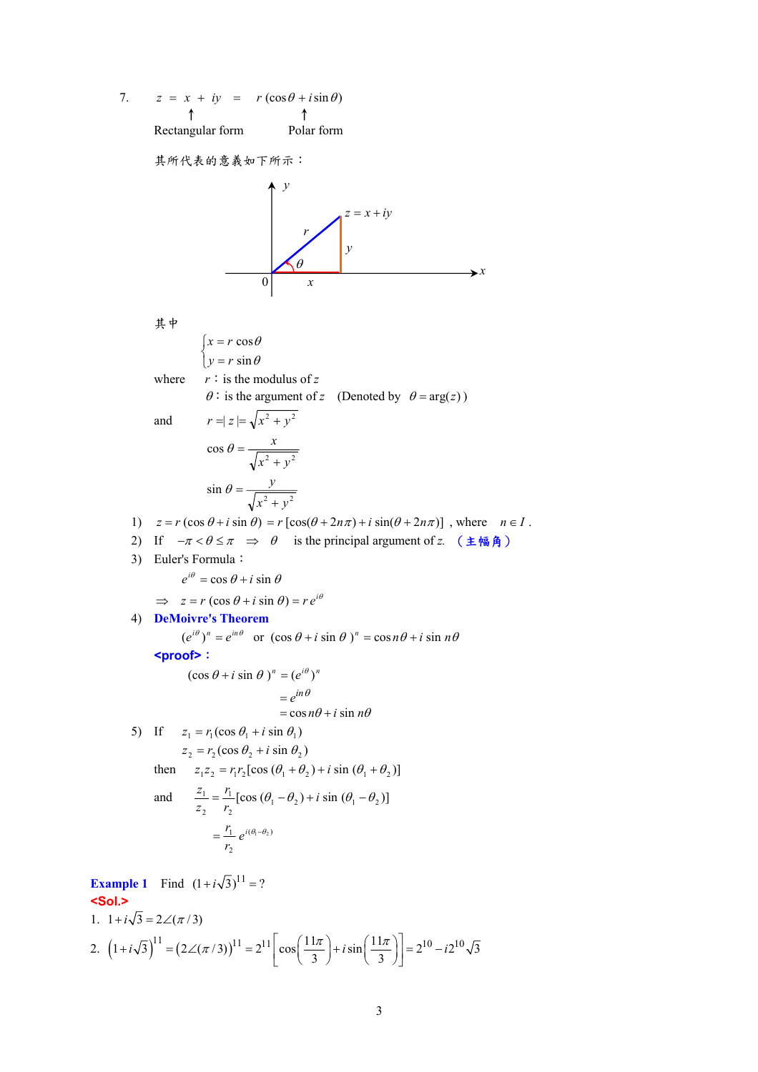7.  $z = x + iy = r(\cos\theta + i\sin\theta)$ Rectangular form Polar form

其所代表的意義如下所示:

*y x z* = *x* + *iy r* 0 *x* θ *y*

$$
\begin{aligned}\n\downarrow \text{F} &= r \cos \theta \\
\downarrow y = r \sin \theta \\
\text{where } r : \text{ is the modulus of } z \\
\theta : \text{ is the argument of } z \quad \text{(Denoted by } \theta = \arg(z))\n\end{aligned}
$$
\nand\n
$$
r = |z| = \sqrt{x^2 + y^2}
$$
\n
$$
\cos \theta = \frac{x}{\sqrt{x^2 + y^2}}
$$
\n
$$
\sin \theta = \frac{y}{\sqrt{x^2 + y^2}}
$$
\n1)  $z = r (\cos \theta + i \sin \theta) = r [\cos(\theta + 2n\pi) + i \sin(\theta + 2n\pi)]$ , where  $n \in I$ .\n2) If  $-π < θ ≤ π \Rightarrow θ$  is the principal argument of  $z$ . (**±M**) =  $π e^{i\theta} = \cos \theta + i \sin \theta$   
\n $\Rightarrow z = r (\cos \theta + i \sin \theta) = r e^{i\theta}$   
\n4) **DeMoivre's Theorem**\n
$$
(e^{i\theta})^n = e^{in\theta} \text{ or } (\cos \theta + i \sin \theta)^n = \cos n\theta + i \sin n\theta
$$
\n
$$
= \cos n\theta + i \sin n\theta
$$
\n
$$
= \cos n\theta + i \sin n\theta
$$
\n5) If  $z_1 = r_1 (\cos \theta_1 + i \sin \theta_1)$   
\n $z_2 = r_2 (\cos \theta_2 + i \sin \theta_2)$   
\nthen  $z_1z_2 = r_1r_2 [\cos (\theta_1 + \theta_2) + i \sin (\theta_1 + \theta_2)]$   
\nand  $\frac{z_1}{z_2} = \frac{r_1}{r_2} [\cos (\theta_1 - \theta_2) + i \sin (\theta_1 - \theta_2)]$ 

$$
= \frac{r_1}{r_2} e^{i(\theta_1 - \theta_2)}
$$
  
**Example 1** Find  $(1 + i\sqrt{3})^{11} = ?$ 

**<Sol.>** 

1. 
$$
1 + i\sqrt{3} = 2\angle(\pi/3)
$$
  
\n2.  $(1 + i\sqrt{3})^{11} = (2\angle(\pi/3))^{11} = 2^{11} \left[ \cos\left(\frac{11\pi}{3}\right) + i\sin\left(\frac{11\pi}{3}\right) \right] = 2^{10} - i2^{10}\sqrt{3}$ 

 $(\theta_1 - \theta_2)$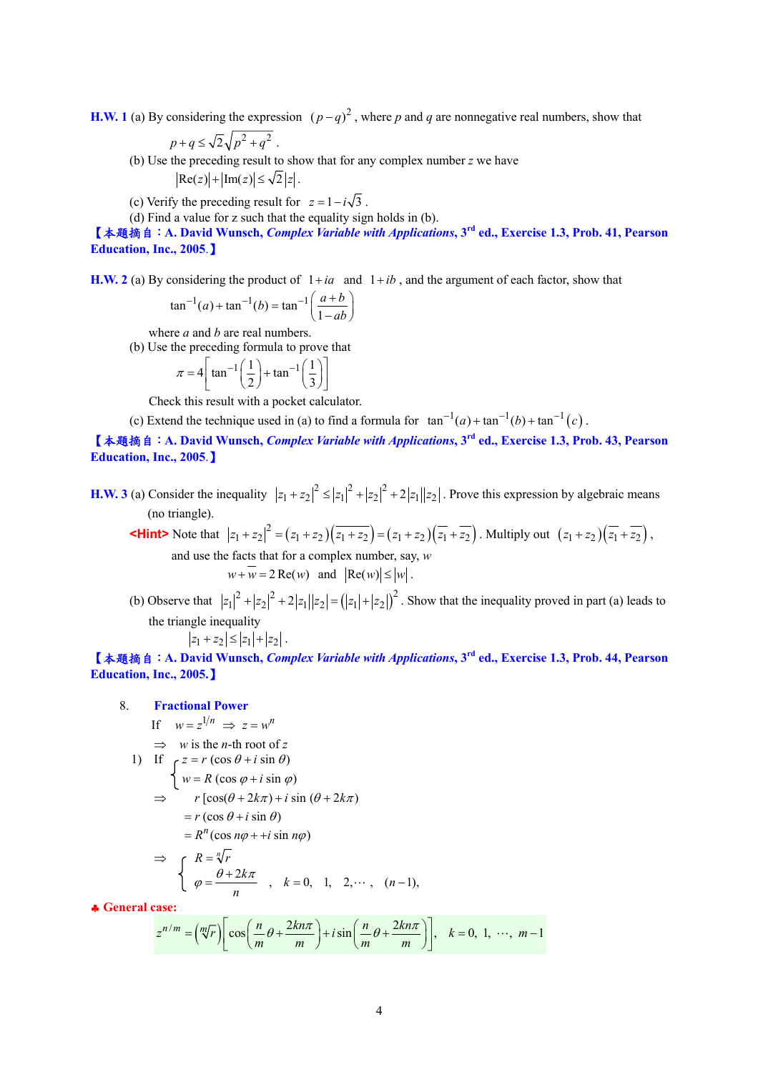**H.W. 1** (a) By considering the expression  $(p - q)^2$ , where *p* and *q* are nonnegative real numbers, show that

$$
p+q \leq \sqrt{2}\sqrt{p^2+q^2} .
$$

(b) Use the preceding result to show that for any complex number *z* we have  $|\text{Re}(z)| + |\text{Im}(z)| \le \sqrt{2} |z|$ .

(c) Verify the preceding result for  $z = 1 - i\sqrt{3}$ .

(d) Find a value for z such that the equality sign holds in (b).

【本題摘自:**A. David Wunsch,** *Complex Variable with Applications***, 3rd ed., Exercise 1.3, Prob. 41, Pearson Education, Inc., 2005**.】

**H.W. 2** (a) By considering the product of  $1 + ia$  and  $1 + ib$ , and the argument of each factor, show that

$$
an^{-1}(a) + \tan^{-1}(b) = \tan^{-1}\left(\frac{a+b}{1-ab}\right)
$$

where *a* and *b* are real numbers.

(b) Use the preceding formula to prove that

$$
\pi = 4 \left[ \tan^{-1} \left( \frac{1}{2} \right) + \tan^{-1} \left( \frac{1}{3} \right) \right]
$$

Check this result with a pocket calculator.

(c) Extend the technique used in (a) to find a formula for  $\tan^{-1}(a) + \tan^{-1}(b) + \tan^{-1}(c)$ .

【本題摘自:**A. David Wunsch,** *Complex Variable with Applications***, 3rd ed., Exercise 1.3, Prob. 43, Pearson Education, Inc., 2005**.】

**H.W. 3** (a) Consider the inequality  $|z_1 + z_2|^2 \le |z_1|^2 + |z_2|^2 + 2|z_1||z_2|$ . Prove this expression by algebraic means (no triangle).

**KHint>** Note that  $|z_1 + z_2|^2 = (z_1 + z_2)(\overline{z_1 + z_2}) = (z_1 + z_2)(\overline{z_1} + \overline{z_2})$ . Multiply out  $(z_1 + z_2)(\overline{z_1} + \overline{z_2})$ , and use the facts that for a complex number, say, *w*

$$
w + \overline{w} = 2 \operatorname{Re}(w)
$$
 and  $|\operatorname{Re}(w)| \le |w|$ .

(b) Observe that  $|z_1|^2 + |z_2|^2 + 2|z_1||z_2| = (|z_1| + |z_2|)^2$ . Show that the inequality proved in part (a) leads to the triangle inequality

$$
|z_1 + z_2| \le |z_1| + |z_2|.
$$

【本題摘自:**A. David Wunsch,** *Complex Variable with Applications***, 3rd ed., Exercise 1.3, Prob. 44, Pearson Education, Inc., 2005.**】

# 8. **Fractional Power**

- If  $w = z^{1/n} \implies z = w^n$
- $\Rightarrow$  *w* is the *n*-th root of *z*

1) If 
$$
\begin{cases} z = r (\cos \theta + i \sin \theta) \\ w = R (\cos \varphi + i \sin \varphi) \\ r [\cos(\theta + 2k\pi) + i \sin (\theta + 2k\pi) \\ = r (\cos \theta + i \sin \theta) \end{cases}
$$

$$
=R^{n}(\cos n\varphi + i\sin n\varphi)
$$

$$
\Rightarrow \begin{cases} R = \sqrt[n]{r} \\ \varphi = \frac{\theta + 2k\pi}{n} \end{cases}, k = 0, 1, 2, \cdots, (n-1),
$$

♣ **General case:** 

$$
z^{n/m} = \left(\sqrt[m]{r}\right) \left[\cos\left(\frac{n}{m}\theta + \frac{2kn\pi}{m}\right) + i\sin\left(\frac{n}{m}\theta + \frac{2kn\pi}{m}\right)\right], \quad k = 0, 1, \cdots, m-1
$$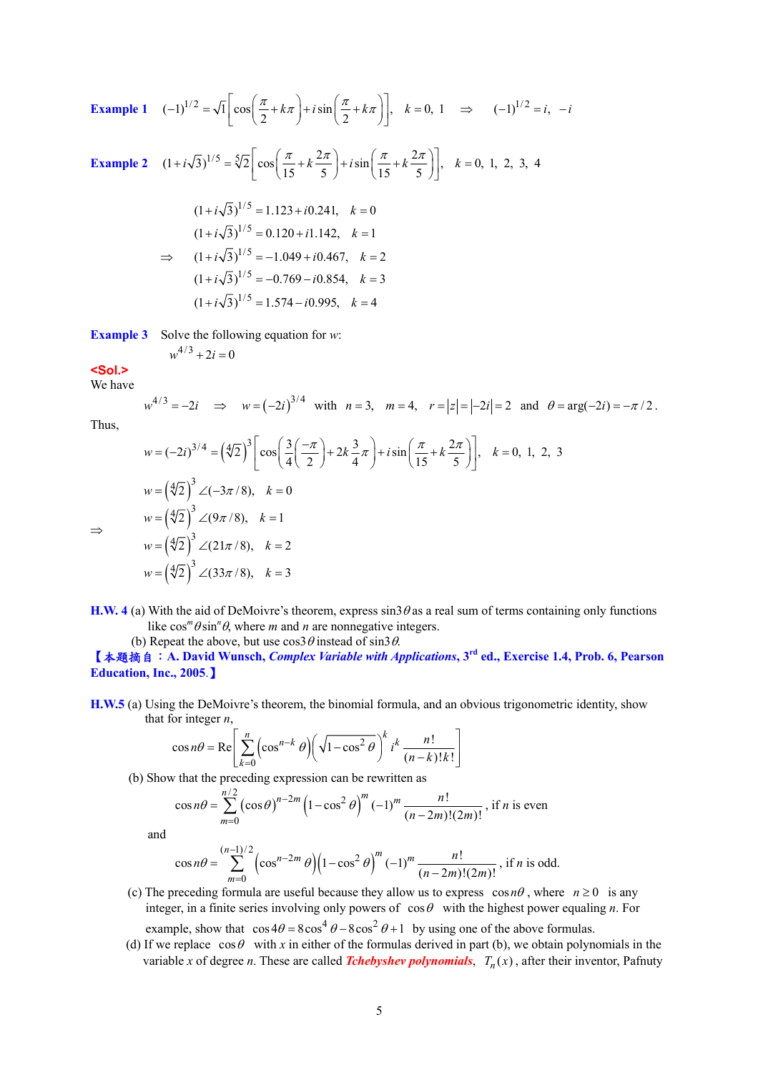**Example 1** 
$$
(-1)^{1/2} = \sqrt{1} \left[ \cos \left( \frac{\pi}{2} + k\pi \right) + i \sin \left( \frac{\pi}{2} + k\pi \right) \right], \quad k = 0, 1 \implies (-1)^{1/2} = i, -i
$$

**Example 2** 
$$
(1 + i\sqrt{3})^{1/5} = \sqrt[5]{2} \left[ \cos\left(\frac{\pi}{15} + k\frac{2\pi}{5}\right) + i\sin\left(\frac{\pi}{15} + k\frac{2\pi}{5}\right) \right], k = 0, 1, 2, 3, 4
$$

$$
(1+i\sqrt{3})^{1/5} = 1.123 + i0.241, k = 0
$$
  
\n
$$
(1+i\sqrt{3})^{1/5} = 0.120 + i1.142, k = 1
$$
  
\n
$$
\implies (1+i\sqrt{3})^{1/5} = -1.049 + i0.467, k = 2
$$
  
\n
$$
(1+i\sqrt{3})^{1/5} = -0.769 - i0.854, k = 3
$$
  
\n
$$
(1+i\sqrt{3})^{1/5} = 1.574 - i0.995, k = 4
$$

**Example 3** Solve the following equation for *w*:

 $w^{4/3} + 2i = 0$ 

$$
<\!\!Sol\!\!>
$$

We have

$$
w^{4/3} = -2i \implies w = (-2i)^{3/4}
$$
 with  $n = 3$ ,  $m = 4$ ,  $r = |z| = |-2i| = 2$  and  $\theta = \arg(-2i) = -\pi/2$ .

Thus,

⇒

$$
w = (-2i)^{3/4} = (\sqrt[4]{2})^3 \left[ \cos\left(\frac{3}{4}\left(-\frac{\pi}{2}\right) + 2k\frac{3}{4}\pi\right) + i\sin\left(\frac{\pi}{15} + k\frac{2\pi}{5}\right) \right], \quad k = 0, 1, 2, 3
$$
  
\n
$$
w = (\sqrt[4]{2})^3 \angle (-3\pi/8), \quad k = 0
$$
  
\n
$$
w = (\sqrt[4]{2})^3 \angle (9\pi/8), \quad k = 1
$$
  
\n
$$
w = (\sqrt[4]{2})^3 \angle (21\pi/8), \quad k = 2
$$
  
\n
$$
w = (\sqrt[4]{2})^3 \angle (33\pi/8), \quad k = 3
$$

**H.W. 4** (a) With the aid of DeMoivre's theorem, express  $\sin 3\theta$  as a real sum of terms containing only functions like  $cos^{m}\theta sin^{n}\theta$ , where *m* and *n* are nonnegative integers.

(b) Repeat the above, but use  $\cos 3\theta$  instead of  $\sin 3\theta$ .

【本題摘自:**A. David Wunsch,** *Complex Variable with Applications***, 3rd ed., Exercise 1.4, Prob. 6, Pearson Education, Inc., 2005**.】

**H.W.5** (a) Using the DeMoivre's theorem, the binomial formula, and an obvious trigonometric identity, show that for integer *n*,

$$
\cos n\theta = \text{Re}\left[\sum_{k=0}^{n} \left(\cos^{n-k}\theta\right) \left(\sqrt{1-\cos^2\theta}\right)^k i^k \frac{n!}{(n-k)!k!}\right]
$$

(b) Show that the preceding expression can be rewritten as

$$
\cos n\theta = \sum_{m=0}^{n/2} (\cos \theta)^{n-2m} \left(1 - \cos^2 \theta\right)^m (-1)^m \frac{n!}{(n-2m)!(2m)!}, \text{ if } n \text{ is even}
$$

and

$$
\cos n\theta = \sum_{m=0}^{(n-1)/2} \left(\cos^{n-2m}\theta\right) \left(1 - \cos^2\theta\right)^m (-1)^m \frac{n!}{(n-2m)!(2m)!}, \text{ if } n \text{ is odd.}
$$

- (c) The preceding formula are useful because they allow us to express  $\cos n\theta$ , where  $n \ge 0$  is any integer, in a finite series involving only powers of  $\cos\theta$  with the highest power equaling *n*. For example, show that  $\cos 4\theta = 8\cos^4 \theta - 8\cos^2 \theta + 1$  by using one of the above formulas.
- (d) If we replace  $\cos\theta$  with *x* in either of the formulas derived in part (b), we obtain polynomials in the variable *x* of degree *n*. These are called *Tchebyshev polynomials*,  $T_n(x)$ , after their inventor, Pafnuty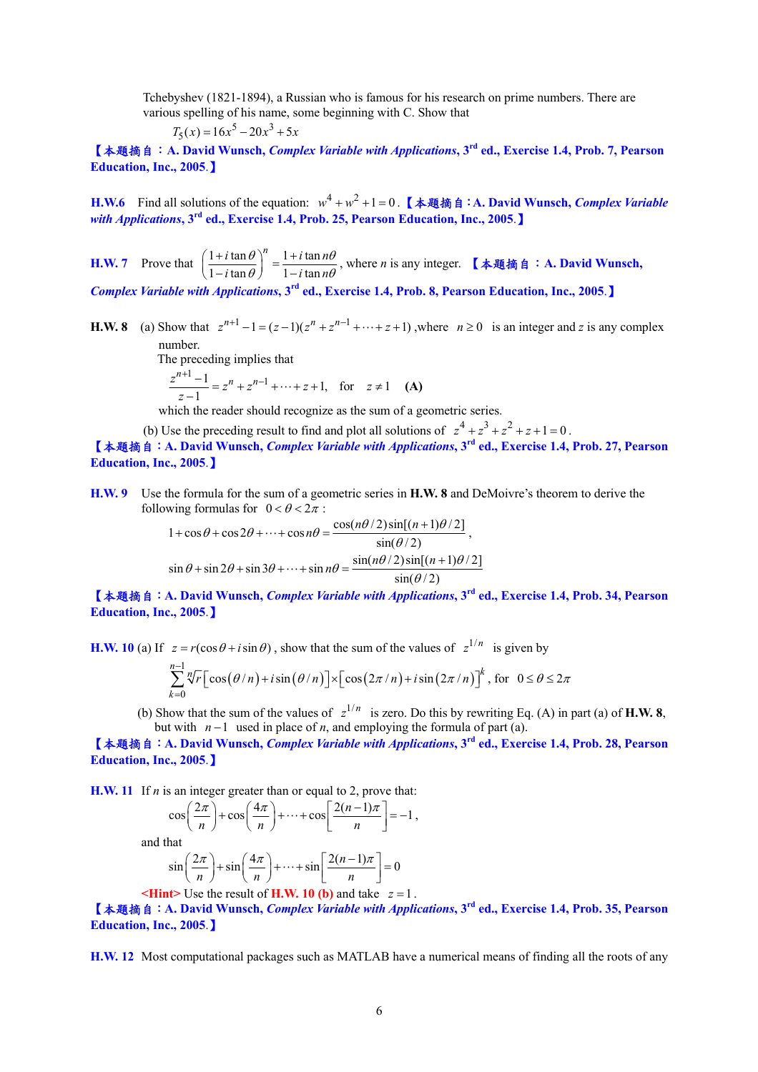Tchebyshev (1821-1894), a Russian who is famous for his research on prime numbers. There are various spelling of his name, some beginning with C. Show that

$$
T_5(x) = 16x^5 - 20x^3 + 5x
$$

【本題摘自:**A. David Wunsch,** *Complex Variable with Applications***, 3rd ed., Exercise 1.4, Prob. 7, Pearson Education, Inc., 2005**.】

**H.W.6** Find all solutions of the equation:  $w^4 + w^2 + 1 = 0$ . 【本題摘自:**A. David Wunsch, Complex Variable** *with Applications***, 3rd ed., Exercise 1.4, Prob. 25, Pearson Education, Inc., 2005**.】

**H.W. 7** Prove that  $\left(\frac{1+i\tan\theta}{1-i\tan\theta}\right)^n = \frac{1+i\tan\theta}{1-i\tan\theta}$  $i \tan \theta$ <sup>n</sup>  $1 + i \tan n$  $i \tan \theta$   $j = 1 - i \tan n$  $\theta$   $\lambda$   $1 + i \tan n\theta$  $\left(\frac{1+i\tan\theta}{1-i\tan\theta}\right)^n = \frac{1+i\tan n\theta}{1-i\tan n\theta}$ , where *n* is any integer. 【本題摘自: A. David Wunsch,

*Complex Variable with Applications***, 3rd ed., Exercise 1.4, Prob. 8, Pearson Education, Inc., 2005**.】

**H.W. 8** (a) Show that  $z^{n+1} - 1 = (z-1)(z^n + z^{n-1} + \cdots + z + 1)$ , where  $n \ge 0$  is an integer and *z* is any complex number.

The preceding implies that

$$
\frac{z^{n+1}-1}{z-1} = z^n + z^{n-1} + \dots + z + 1, \text{ for } z \neq 1 \quad (A)
$$

which the reader should recognize as the sum of a geometric series.

(b) Use the preceding result to find and plot all solutions of  $z^4 + z^3 + z^2 + z + 1 = 0$ .

【本題摘自:**A. David Wunsch,** *Complex Variable with Applications***, 3rd ed., Exercise 1.4, Prob. 27, Pearson Education, Inc., 2005**.】

**H.W. 9** Use the formula for the sum of a geometric series in **H.W. 8** and DeMoivre's theorem to derive the following formulas for  $0 < \theta < 2\pi$ :

> $1 + \cos\theta + \cos 2\theta + \cdots + \cos n\theta = \frac{\cos(n\theta/2)\sin[(n+1)\theta/2]}{\sin(\theta/2)}$  $\theta$  + cos 2 $\theta$  + ... + cos n  $\theta$  =  $\frac{\cos(n\theta/2)\sin[(n+1)\theta]}{\sin(\theta/2)}$  $+\cos\theta + \cos 2\theta + \cdots + \cos n\theta = \frac{\cos(n\theta/2)\sin[(n+1)\theta/2]}{\cos(n\theta/2)},$  $\sin \theta + \sin 2\theta + \sin 3\theta + \cdots + \sin n\theta = \frac{\sin(n\theta/2)\sin[(n+1)\theta/2]}{\sin(\theta/2)}$  $\theta$  + sin 2 $\theta$  + sin 3 $\theta$  + ... + sin  $n\theta$  =  $\frac{\sin(n\theta/2)\sin[(n+1)\theta]}{\sin(\theta/2)}$  $+\sin 2\theta + \sin 3\theta + \cdots + \sin n\theta = \frac{\sin(n\theta/2)\sin[(n+\theta/2)]\sin[(n+\theta/2)]\sin[(n+\theta/2)]\sin[(n+\theta/2)]\sin[(n+\theta/2)]\sin[(n+\theta/2)]\sin[(n+\theta/2)]\sin[(n+\theta/2)]\sin[(n+\theta/2)]\sin[(n+\theta/2)]\sin[(n+\theta/2)]\sin[(n+\theta/2)]\sin[(n+\theta/2)]\sin[(n+\theta/2)]\sin[(n+\theta/2)]\sin[(n+\theta/2)]\sin[(n+\theta/2)]\sin[(n+\theta/2)]\sin[(n+\theta/2)]\sin[(n+\theta/2)]\sin[(n+\theta/$

【本題摘自:**A. David Wunsch,** *Complex Variable with Applications***, 3rd ed., Exercise 1.4, Prob. 34, Pearson Education, Inc., 2005**.】

**H.W. 10** (a) If  $z = r(\cos \theta + i \sin \theta)$ , show that the sum of the values of  $z^{1/n}$  is given by

$$
\sum_{k=0}^{n-1} \sqrt[n]{r} \Big[ \cos(\theta/n) + i \sin(\theta/n) \Big] \times \Big[ \cos(2\pi/n) + i \sin(2\pi/n) \Big]^k, \text{ for } 0 \le \theta \le 2\pi
$$

(b) Show that the sum of the values of  $z^{1/n}$  is zero. Do this by rewriting Eq. (A) in part (a) of **H.W. 8**, but with  $n-1$  used in place of *n*, and employing the formula of part (a).

【本題摘自:**A. David Wunsch,** *Complex Variable with Applications***, 3rd ed., Exercise 1.4, Prob. 28, Pearson Education, Inc., 2005**.】

**H.W.** 11 If *n* is an integer greater than or equal to 2, prove that:

$$
\cos\left(\frac{2\pi}{n}\right) + \cos\left(\frac{4\pi}{n}\right) + \dots + \cos\left[\frac{2(n-1)\pi}{n}\right] = -1,
$$
  
and that  

$$
\sin\left(\frac{2\pi}{n}\right) + \sin\left(\frac{4\pi}{n}\right) + \dots + \sin\left[\frac{2(n-1)\pi}{n}\right] = 0
$$

**Hint**gt Use the result of **H.W. 10 (b)** and take 
$$
z = 1
$$
.

【本題摘自:**A. David Wunsch,** *Complex Variable with Applications***, 3rd ed., Exercise 1.4, Prob. 35, Pearson Education, Inc., 2005**.】

**H.W. 12** Most computational packages such as MATLAB have a numerical means of finding all the roots of any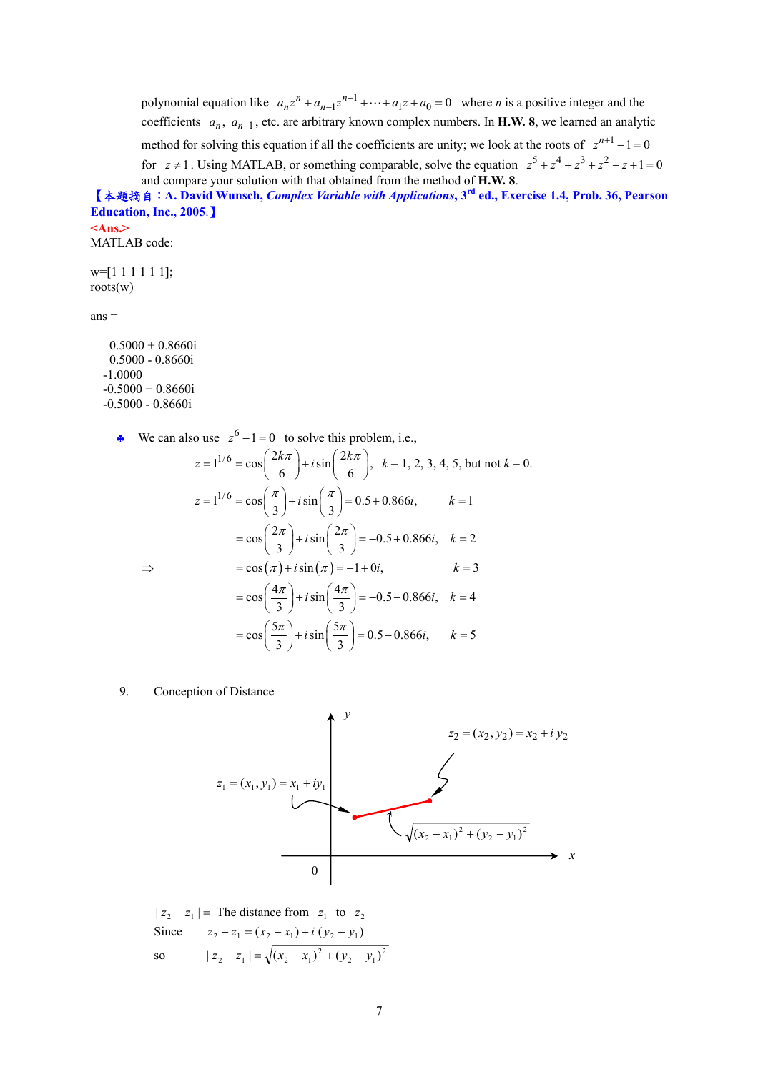polynomial equation like  $a_n z^n + a_{n-1} z^{n-1} + \cdots + a_1 z + a_0 = 0$  where *n* is a positive integer and the coefficients  $a_n$ ,  $a_{n-1}$ , etc. are arbitrary known complex numbers. In **H.W. 8**, we learned an analytic method for solving this equation if all the coefficients are unity; we look at the roots of  $z^{n+1} - 1 = 0$ for  $z \ne 1$ . Using MATLAB, or something comparable, solve the equation  $z^5 + z^4 + z^3 + z^2 + z + 1 = 0$ and compare your solution with that obtained from the method of **H.W. 8**. 【本題摘自:**A. David Wunsch,** *Complex Variable with Applications***, 3rd ed., Exercise 1.4, Prob. 36, Pearson Education, Inc., 2005**.】

**<Ans.>**  MATLAB code:

 $w=[1 1 1 1 1 1];$ roots(w)

 $ans =$ 

```
0.5000 + 0.8660i 0.5000 - 0.8660i 
 -1.0000 
-0.5000 + 0.8660i -0.5000 - 0.8660i
```
**►** We can also use  $z^6 - 1 = 0$  to solve this problem, i.e.,

$$
z = 1^{1/6} = \cos\left(\frac{2k\pi}{6}\right) + i\sin\left(\frac{2k\pi}{6}\right), \quad k = 1, 2, 3, 4, 5, \text{ but not } k = 0.
$$
  

$$
z = 1^{1/6} = \cos\left(\frac{\pi}{3}\right) + i\sin\left(\frac{\pi}{3}\right) = 0.5 + 0.866i, \qquad k = 1
$$
  

$$
= \cos\left(\frac{2\pi}{3}\right) + i\sin\left(\frac{2\pi}{3}\right) = -0.5 + 0.866i, \quad k = 2
$$
  

$$
\Rightarrow \qquad = \cos(\pi) + i\sin(\pi) = -1 + 0i, \qquad k = 3
$$
  

$$
= \cos\left(\frac{4\pi}{3}\right) + i\sin\left(\frac{4\pi}{3}\right) = -0.5 - 0.866i, \quad k = 4
$$
  

$$
= \cos\left(\frac{5\pi}{3}\right) + i\sin\left(\frac{5\pi}{3}\right) = 0.5 - 0.866i, \qquad k = 5
$$

9. Conception of Distance



 $| z_2 - z_1 |$  = The distance from  $z_1$  to  $z_2$ Since  $z_2 - z_1 = (x_2 - x_1) + i (y_2 - y_1)$ so  $|z_2 - z_1| = \sqrt{(x_2 - x_1)^2 + (y_2 - y_1)^2}$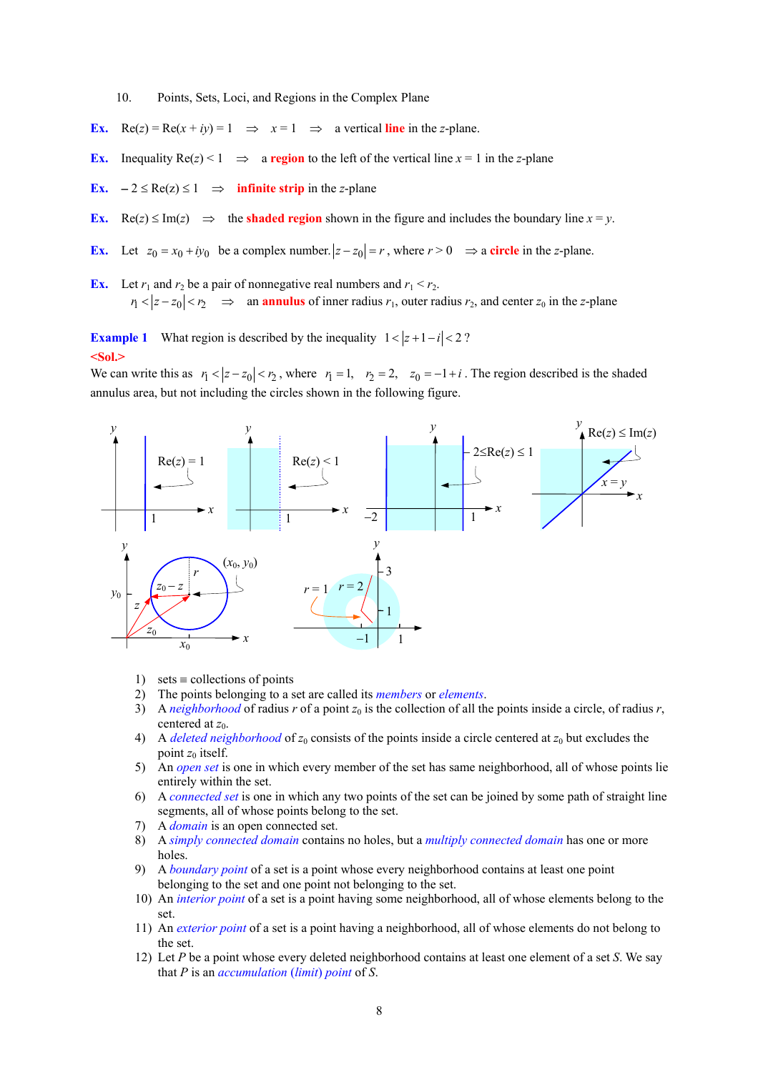10. Points, Sets, Loci, and Regions in the Complex Plane

- **Ex.** Re(*z*) = Re( $x + iy$ ) = 1  $\implies x = 1$   $\implies$  a vertical line in the *z*-plane.
- **Ex.** Inequality  $Re(z) < 1 \implies$  a **region** to the left of the vertical line  $x = 1$  in the *z*-plane
- **Ex.**  $-2 \leq Re(z) \leq 1$  ⇒ **infinite strip** in the *z*-plane
- **Ex.** Re(*z*)  $\leq$  Im(*z*)  $\Rightarrow$  the **shaded region** shown in the figure and includes the boundary line *x* = *y*.
- **Ex.** Let  $z_0 = x_0 + iy_0$  be a complex number.  $|z z_0| = r$ , where  $r > 0 \implies$  a circle in the *z*-plane.

**Ex.** Let  $r_1$  and  $r_2$  be a pair of nonnegative real numbers and  $r_1 < r_2$ .  $|r_1 < |z - z_0| < r_2$   $\implies$  an **annulus** of inner radius  $r_1$ , outer radius  $r_2$ , and center  $z_0$  in the *z*-plane

**Example 1** What region is described by the inequality  $1 < |z + 1 - i| < 2$ ? **<Sol.>** 

We can write this as  $r_1 < |z - z_0| < r_2$ , where  $r_1 = 1$ ,  $r_2 = 2$ ,  $z_0 = -1 + i$ . The region described is the shaded annulus area, but not including the circles shown in the following figure.



- 1) sets  $\equiv$  collections of points
- 2) The points belonging to a set are called its *members* or *elements*.
- 3) A *neighborhood* of radius *r* of a point  $z_0$  is the collection of all the points inside a circle, of radius *r*, centered at  $z_0$ .
- 4) A *deleted neighborhood* of  $z_0$  consists of the points inside a circle centered at  $z_0$  but excludes the point  $z_0$  itself.
- 5) An *open set* is one in which every member of the set has same neighborhood, all of whose points lie entirely within the set.
- 6) A *connected set* is one in which any two points of the set can be joined by some path of straight line segments, all of whose points belong to the set.
- 7) A *domain* is an open connected set.
- 8) A *simply connected domain* contains no holes, but a *multiply connected domain* has one or more holes.
- 9) A *boundary point* of a set is a point whose every neighborhood contains at least one point belonging to the set and one point not belonging to the set.
- 10) An *interior point* of a set is a point having some neighborhood, all of whose elements belong to the set.
- 11) An *exterior point* of a set is a point having a neighborhood, all of whose elements do not belong to the set.
- 12) Let *P* be a point whose every deleted neighborhood contains at least one element of a set *S*. We say that *P* is an *accumulation* (*limit*) *point* of *S*.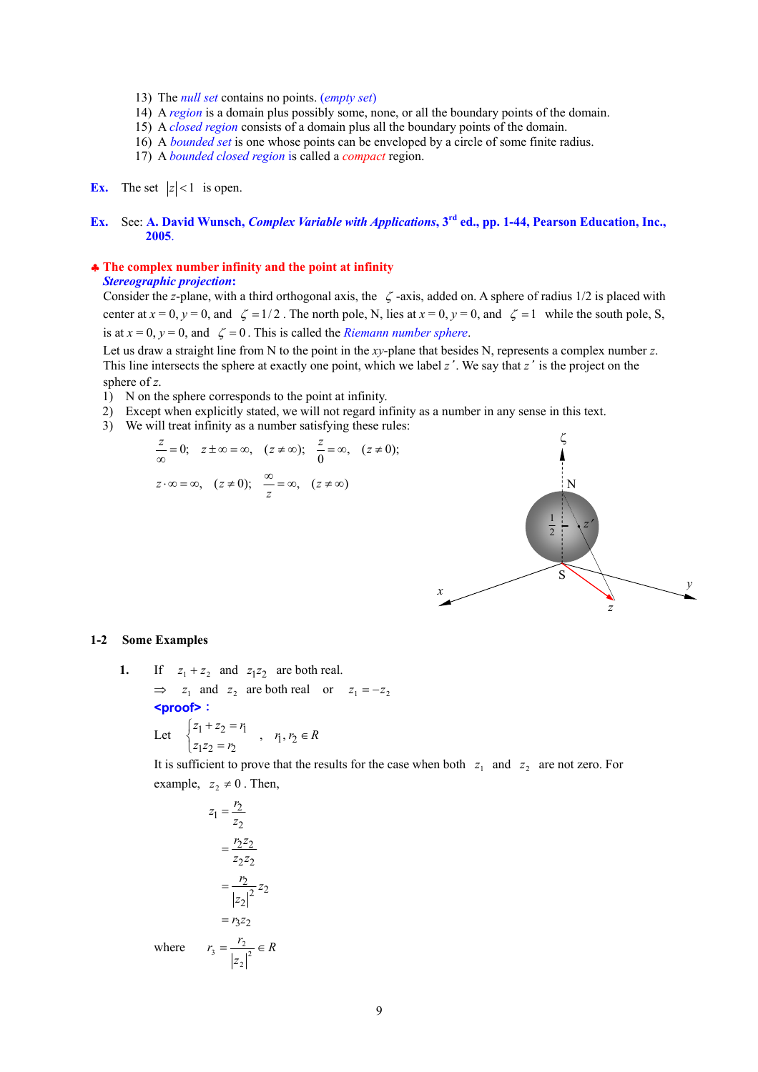- 13) The *null set* contains no points. (*empty set*)
- 14) A *region* is a domain plus possibly some, none, or all the boundary points of the domain.
- 15) A *closed region* consists of a domain plus all the boundary points of the domain.
- 16) A *bounded set* is one whose points can be enveloped by a circle of some finite radius.
- 17) A *bounded closed region* is called a *compact* region.

# **Ex.** The set  $|z| < 1$  is open.

#### **Ex.** See: **A. David Wunsch,** *Complex Variable with Applications***, 3rd ed., pp. 1-44, Pearson Education, Inc., 2005**.

#### ♣ **The complex number infinity and the point at infinity**  *Stereographic projection***:**

 Consider the *z*-plane, with a third orthogonal axis, the ζ -axis, added on. A sphere of radius 1/2 is placed with center at  $x = 0$ ,  $y = 0$ , and  $\zeta = 1/2$ . The north pole, N, lies at  $x = 0$ ,  $y = 0$ , and  $\zeta = 1$  while the south pole, S, is at  $x = 0$ ,  $y = 0$ , and  $\zeta = 0$ . This is called the *Riemann number sphere*.

Let us draw a straight line from N to the point in the *xy*-plane that besides N, represents a complex number *z*. This line intersects the sphere at exactly one point, which we label *z*'. We say that *z*' is the project on the sphere of *z*.

- 1) N on the sphere corresponds to the point at infinity.
- 2) Except when explicitly stated, we will not regard infinity as a number in any sense in this text.
- 3) We will treat infinity as a number satisfying these rules:



#### **1-2 Some Examples**

**1.** If  $z_1 + z_2$  and  $z_1z_2$  are both real.  $\Rightarrow$  *z*<sub>1</sub> and *z*<sub>2</sub> are both real or *z*<sub>1</sub> = −*z*<sub>2</sub> **<proof>**:

Let 
$$
\begin{cases} z_1 + z_2 = r_1 \\ z_1 z_2 = r_2 \end{cases}
$$
,  $r_1, r_2 \in R$ 

It is sufficient to prove that the results for the case when both  $z_1$  and  $z_2$  are not zero. For example,  $z_2 \neq 0$ . Then,

$$
z_1 = \frac{r_2}{z_2}
$$

$$
= \frac{r_2 z_2}{z_2 z_2}
$$

$$
= \frac{r_2}{|z_2|^2} z_2
$$

$$
= r_3 z_2
$$
where 
$$
r_3 = \frac{r_2}{|z_2|^2} \in R
$$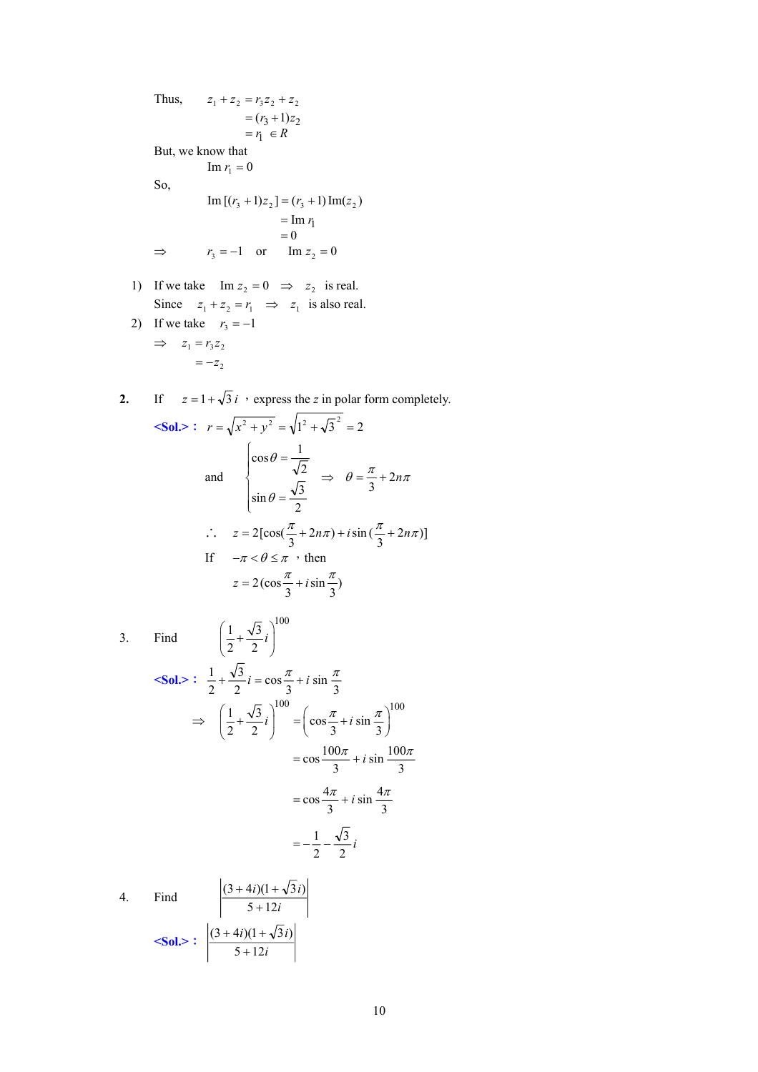Thus,  
\n
$$
z_1 + z_2 = r_3 z_2 + z_2
$$
\n
$$
= (r_3 + 1)z_2
$$
\n
$$
= r_1 \in R
$$
\nBut, we know that\n
$$
\text{Im } r_1 = 0
$$
\nSo,  
\n
$$
\text{Im } [(r_3 + 1)z_2] = (r_3 + 1) \text{Im}(z_2)
$$
\n
$$
= \text{Im } r_1
$$
\n
$$
= 0
$$
\n
$$
\Rightarrow r_3 = -1 \quad \text{or} \quad \text{Im } z_2 = 0
$$

- 1) If we take  $\text{Im } z_2 = 0 \Rightarrow z_2$  is real. Since  $z_1 + z_2 = r_1 \implies z_1$  is also real.
- 2) If we take  $r_3 = -1$  $\Rightarrow z_1 = r_3 z_2$  $=-z_2$

2. If 
$$
z = 1 + \sqrt{3}i
$$
, express the z in polar form completely.  
\n
$$
Sol.>:  $r = \sqrt{x^2 + y^2} = \sqrt{1^2 + \sqrt{3}^2} = 2$   
\nand 
$$
\begin{cases}\n\cos \theta = \frac{1}{\sqrt{2}} \\
\sin \theta = \frac{\sqrt{3}}{2}\n\end{cases} \Rightarrow \theta = \frac{\pi}{3} + 2n\pi
$$
  
\n $\therefore z = 2[\cos(\frac{\pi}{3} + 2n\pi) + i\sin(\frac{\pi}{3} + 2n\pi)]$   
\nIf  $-\pi < \theta \le \pi$ , then  
\n $z = 2(\cos \frac{\pi}{3} + i\sin \frac{\pi}{3})$
$$

- 3. Find  $1\sqrt{3}$ .  $^{100}$  $\left(\frac{1}{2} + \frac{\sqrt{3}}{2}i\right)$  $(2 \t2)$  $\text{Sol.} > \frac{1}{2} + \frac{\sqrt{3}}{2}i = \cos{\frac{\pi}{3}} + i \sin{\frac{\pi}{3}}$ 3 2  $\frac{1}{2} + \frac{\sqrt{3}}{2}i = \cos \frac{\pi}{2} + i \sin \frac{\pi}{2}$  $\Rightarrow \left(\frac{1}{2} + \frac{\sqrt{3}}{2}i\right)^{100} = \left(\cos\frac{\pi}{3} + i\sin\frac{\pi}{3}\right)^{100}$  $\frac{i^2}{2}$  $rac{4\pi}{3} + i \sin \frac{4\pi}{3}$  $\frac{100\pi}{3} + i \sin \frac{100}{3}$ 3 2  $=-\frac{1}{2}$  $=\cos\frac{4\pi}{2}+i\sin\frac{4\pi}{2}$  $=\cos\frac{100\pi}{2}+i\sin\frac{100\pi}{2}$
- 4. Find  $\frac{(3 + 4i)(1 + 1)}{5 + 12i}$ *i*)(1 +  $\sqrt{3}i$  $5 + 12$  $(3 + 4i)(1 + \sqrt{3} i)$ +  $+ 4i(1 +$  $\le$ **Sol.>**:  $\frac{3+12i}{5+12i}$ *i*)(1 +  $\sqrt{3}i$  $5 + 12$  $(3 + 4i)(1 + \sqrt{3} i)$ +  $+4i(1+$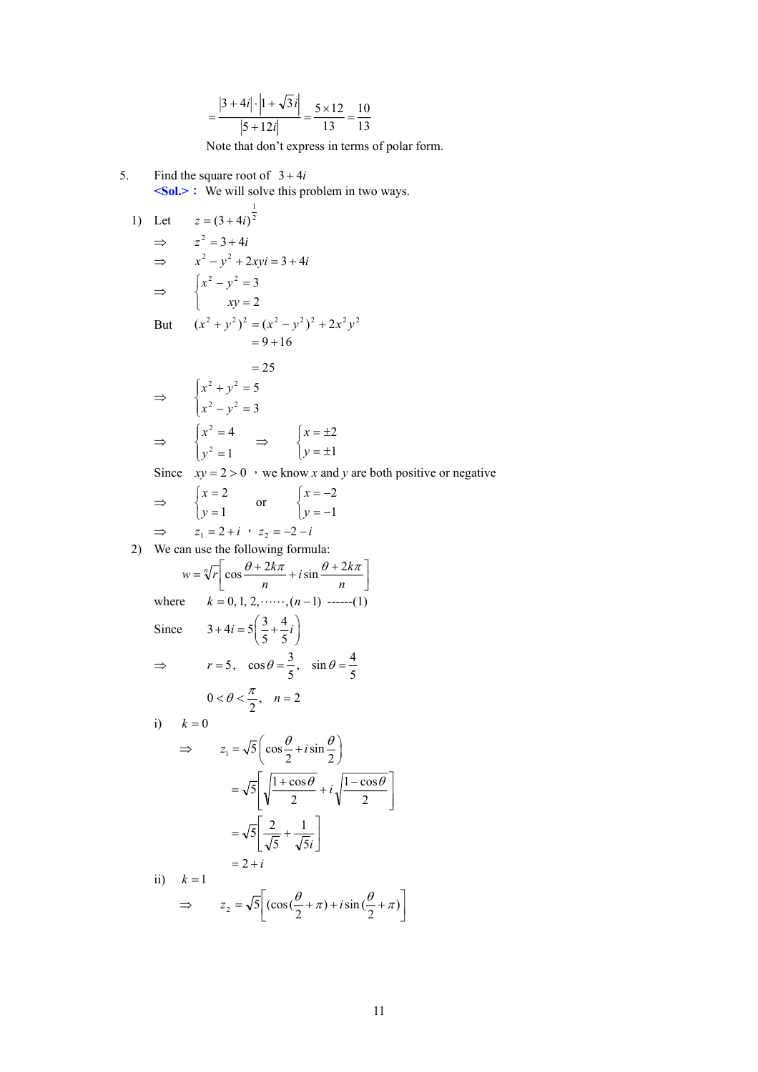$$
=\frac{|3+4i|\cdot|1+\sqrt{3}i|}{|5+12i|}=\frac{5\times12}{13}=\frac{10}{13}
$$

Note that don't express in terms of polar form.

5. Find the square root of  $3 + 4i$ **<Sol.>**: We will solve this problem in two ways.

1) Let 
$$
z = (3 + 4i)^{\frac{1}{2}}
$$
  
\n $\Rightarrow z^2 = 3 + 4i$   
\n $\Rightarrow x^2 - y^2 + 2xyi = 3 + 4i$   
\n $\Rightarrow \begin{cases} x^2 - y^2 = 3 \\ xy = 2 \end{cases}$   
\nBut  $(x^2 + y^2)^2 = (x^2 - y^2)^2 + 2x^2y^2$   
\n $= 9 + 16$   
\n $= 25$   
\n $\Rightarrow \begin{cases} x^2 + y^2 = 5 \\ x^2 - y^2 = 3 \end{cases}$   
\n $\Rightarrow \begin{cases} x^2 = 4 \\ y^2 = 1 \end{cases} \Rightarrow \begin{cases} x = \pm 2 \\ y = \pm 1 \end{cases}$ 

Since  $xy = 2 > 0$  , we know *x* and *y* are both positive or negative

$$
\Rightarrow \qquad \begin{cases} x = 2 \\ y = 1 \end{cases} \qquad \text{or} \qquad \begin{cases} x = -2 \\ y = -1 \end{cases}
$$
  

$$
\Rightarrow \qquad z_1 = 2 + i \quad z_2 = -2 - i
$$

2) We can use the following formula:

$$
w = \sqrt[n]{r} \left[ \cos \frac{\theta + 2k\pi}{n} + i \sin \frac{\theta + 2k\pi}{n} \right]
$$
  
where  $k = 0, 1, 2, \dots, (n - 1) \dots - (1)$   
Since  $3 + 4i = 5\left(\frac{3}{5} + \frac{4}{5}i\right)$   
 $\Rightarrow r = 5, \cos \theta = \frac{3}{5}, \sin \theta = \frac{4}{5}$   
 $0 < \theta < \frac{\pi}{2}, n = 2$   
i)  $k = 0$   
 $\Rightarrow z_1 = \sqrt{5} \left( \cos \frac{\theta}{2} + i \sin \frac{\theta}{2} \right)$   
 $= \sqrt{5} \left[ \sqrt{\frac{1 + \cos \theta}{2}} + i \sqrt{\frac{1 - \cos \theta}{2}} \right]$   
 $= \sqrt{5} \left[ \frac{2}{\sqrt{5}} + \frac{1}{\sqrt{5}i} \right]$   
 $= 2 + i$   
ii)  $k = 1$ 

$$
\Rightarrow z_2 = \sqrt{5} \left[ (\cos(\frac{\theta}{2} + \pi) + i \sin(\frac{\theta}{2} + \pi) \right]
$$

 $\overline{\phantom{a}}$  $\overline{\phantom{a}}$ ⎦

⎤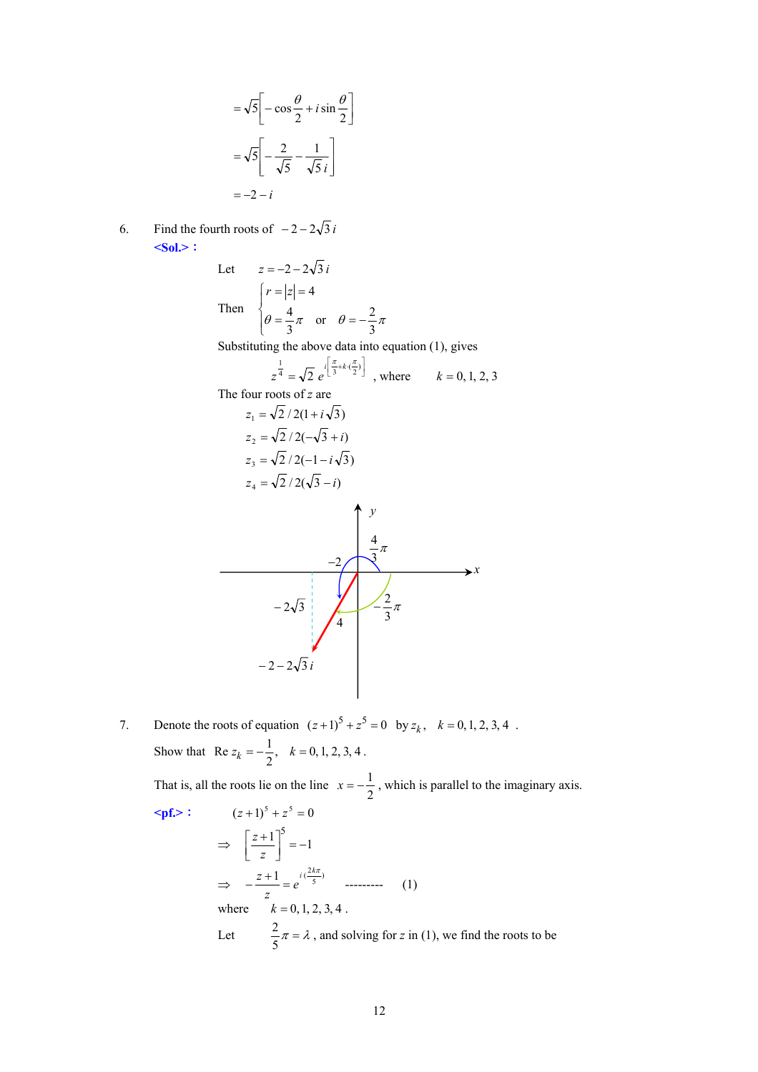$$
= \sqrt{5} \left[ -\cos\frac{\theta}{2} + i\sin\frac{\theta}{2} \right]
$$

$$
= \sqrt{5} \left[ -\frac{2}{\sqrt{5}} - \frac{1}{\sqrt{5}i} \right]
$$

$$
= -2 - i
$$

6. Find the fourth roots of  $-2 - 2\sqrt{3}i$ **<Sol.>**:

Let 
$$
z = -2 - 2\sqrt{3}i
$$
  
\nThen 
$$
\begin{cases} r = |z| = 4 \\ \theta = \frac{4}{3}\pi \text{ or } \theta = -\frac{2}{3}\pi \end{cases}
$$

Substituting the above data into equation (1), gives

$$
z^{\frac{1}{4}} = \sqrt{2} e^{i\left[\frac{\pi}{3} + k\cdot(\frac{\pi}{2})\right]}
$$
, where  $k = 0, 1, 2, 3$ 

The four roots of *z* are

$$
z_{1} = \sqrt{2}/2(1 + i\sqrt{3})
$$
\n
$$
z_{2} = \sqrt{2}/2(-\sqrt{3} + i)
$$
\n
$$
z_{3} = \sqrt{2}/2(-1 - i\sqrt{3})
$$
\n
$$
z_{4} = \sqrt{2}/2(\sqrt{3} - i)
$$
\n
$$
z_{5} = \sqrt{2}/2(\sqrt{3} - i)
$$
\n
$$
z_{6} = \sqrt{2}/2(\sqrt{3} - i)
$$
\n
$$
z_{7} = \sqrt{2}/\sqrt{3}
$$
\n
$$
z_{8} = \sqrt{2}/2(\sqrt{3} - i)
$$
\n
$$
z_{9} = \sqrt{2}/\sqrt{3}
$$
\n
$$
z_{10} = \sqrt{2}/\sqrt{3}
$$
\n
$$
z_{11} = \sqrt{2}/\sqrt{3}
$$
\n
$$
z_{12} = \sqrt{2}/\sqrt{3}
$$
\n
$$
z_{13} = \sqrt{2}/\sqrt{3}
$$
\n
$$
z_{14} = \sqrt{2}/\sqrt{3}
$$
\n
$$
z_{15} = \sqrt{2}/\sqrt{3}
$$
\n
$$
z_{16} = \sqrt{2}/\sqrt{3}
$$
\n
$$
z_{18} = \sqrt{2}/2(-1 - i\sqrt{3})
$$
\n
$$
z_{19} = \sqrt{2}/2(-1 - i\sqrt{3})
$$
\n
$$
z_{10} = \sqrt{2}/2(-1 - i\sqrt{3})
$$
\n
$$
z_{11} = \sqrt{2}/2(-1 - i\sqrt{3})
$$
\n
$$
z_{12} = \sqrt{2}/2(-1 - i\sqrt{3})
$$
\n
$$
z_{15} = \sqrt{2}/2(-1 - i\sqrt{3})
$$
\n
$$
z_{16} = \sqrt{2}/2(-1 - i\sqrt{3})
$$
\n
$$
z_{18} = \sqrt{2}/2(-1 - i\sqrt{3})
$$
\n
$$
z_{18} = \sqrt{2}/2(-1 - i\sqrt{3})
$$
\n
$$
z_{19} = \sqrt{2}/2(-1 - i\sqrt{3})
$$
\n
$$
z_{10} = \sqrt{2}/2(-1 - i\sqrt{3})
$$
\n

7. Denote the roots of equation  $(z+1)^5 + z^5 = 0$  by  $z_k$ ,  $k = 0, 1, 2, 3, 4$ . Show that Re  $z_k = -\frac{1}{2}$ ,  $k = 0, 1, 2, 3, 4$ .

That is, all the roots lie on the line  $x = -\frac{1}{2}$ , which is parallel to the imaginary axis.  $\leq pf.$   $\geq$   $(z+1)^5 + z^5 = 0$ 

$$
(z+1)^2 + z^2 = 0
$$
  
\n
$$
\Rightarrow \left[\frac{z+1}{z}\right]^5 = -1
$$
  
\n
$$
\Rightarrow -\frac{z+1}{z} = e^{i\left(\frac{2k\pi}{5}\right)} \quad \text{........}
$$
\n(1)  
\nwhere  $k = 0, 1, 2, 3, 4$ .  
\nLet  $\frac{2}{5}\pi = \lambda$ , and solving for  $z$  in (1), we find the roots to be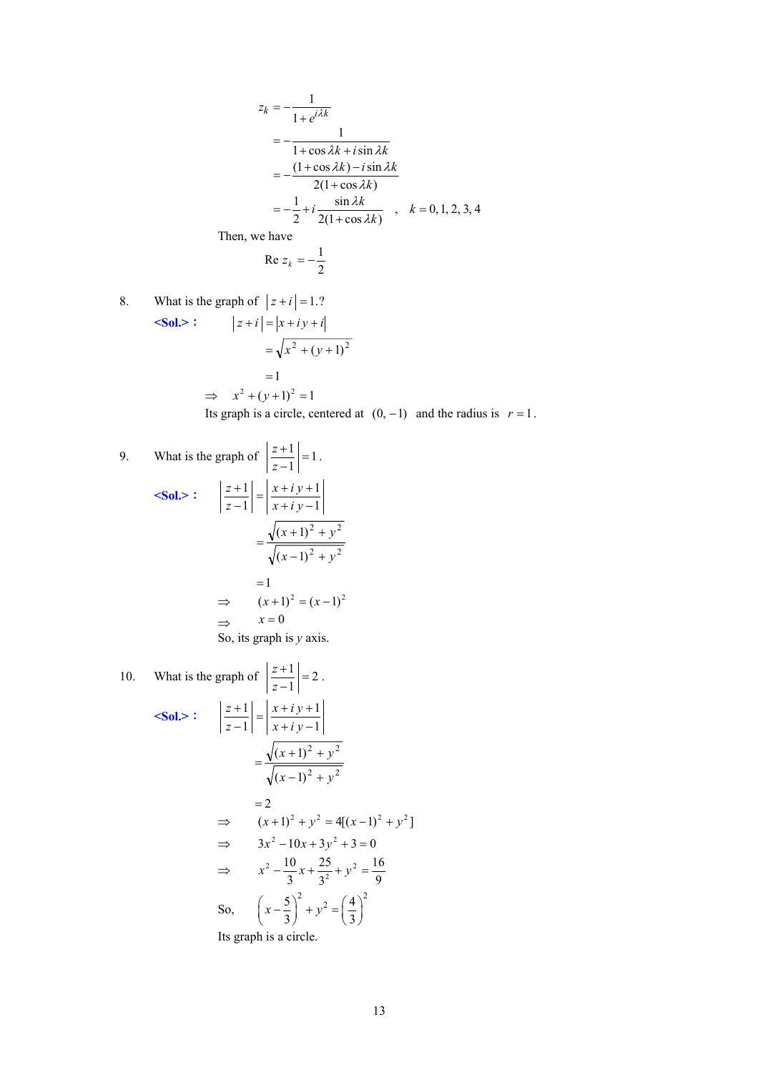$$
z_k = -\frac{1}{1 + e^{i\lambda k}}
$$
  
= 
$$
-\frac{1}{1 + \cos \lambda k + i \sin \lambda k}
$$
  
= 
$$
-\frac{(1 + \cos \lambda k) - i \sin \lambda k}{2(1 + \cos \lambda k)}
$$
  
= 
$$
-\frac{1}{2} + i \frac{\sin \lambda k}{2(1 + \cos \lambda k)}
$$
,  $k = 0, 1, 2, 3, 4$ 

Then, we have

$$
\operatorname{Re} z_k = -\frac{1}{2}
$$

8. What is the graph of  $|z + i| = 1.7$  $\le$ **Sol.>**:  $|z+i| = |x+iy+i|$  $=1$  $=\sqrt{x^2 + (y+1)^2}$ 

$$
\Rightarrow x^2 + (y+1)^2 = 1
$$

Its graph is a circle, centered at  $(0, -1)$  and the radius is  $r = 1$ .

9. What is the graph of 
$$
\left|\frac{z+1}{z-1}\right| = 1
$$
.  
\n
$$
Sol. :  $\left|\frac{z+1}{z-1}\right| = \left|\frac{x+iy+1}{x+iy-1}\right|$   
\n
$$
= \frac{\sqrt{(x+1)^2 + y^2}}{\sqrt{(x-1)^2 + y^2}}
$$
  
\n
$$
= 1
$$
  
\n
$$
\Rightarrow (x+1)^2 = (x-1)^2
$$
  
\n
$$
\Rightarrow x = 0
$$
  
\nSo, its graph is *y* axis.
$$

10. What is the graph of 
$$
\left| \frac{z+1}{z-1} \right| = 2
$$
.  
\n
$$
Sol.>:  $\left| \frac{z+1}{z-1} \right| = \left| \frac{x+i y+1}{x+i y-1} \right|$ \n
$$
= \frac{\sqrt{(x+1)^2 + y^2}}{\sqrt{(x-1)^2 + y^2}}
$$
\n
$$
= 2
$$
\n
$$
\Rightarrow (x+1)^2 + y^2 = 4[(x-1)^2 + y^2]
$$
\n
$$
\Rightarrow 3x^2 - 10x + 3y^2 + 3 = 0
$$
\n
$$
\Rightarrow x^2 - \frac{10}{3}x + \frac{25}{3^2} + y^2 = \frac{16}{9}
$$
\nSo,  $\left( x - \frac{5}{3} \right)^2 + y^2 = \left( \frac{4}{3} \right)^2$
$$

Its graph is a circle.